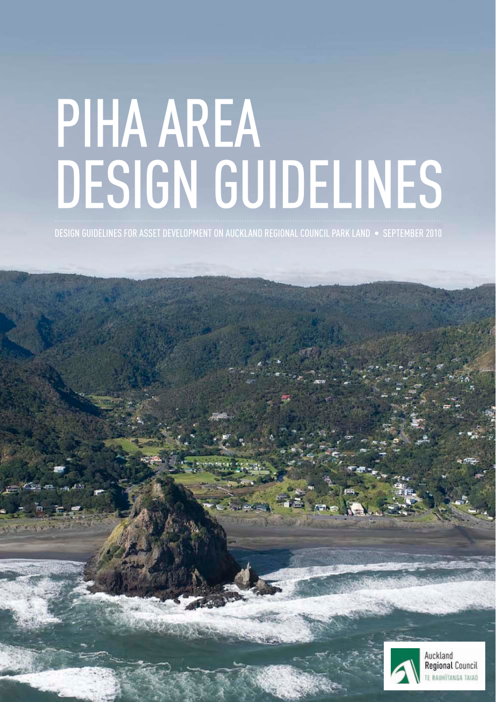## PIHA AREA DESIGN GUIDELINES

DESIGN GUIDELINES FOR ASSET DEVELOPMENT ON AUCKLAND REGIONAL COUNCIL PARK LAND • SEPTEMBER 2010

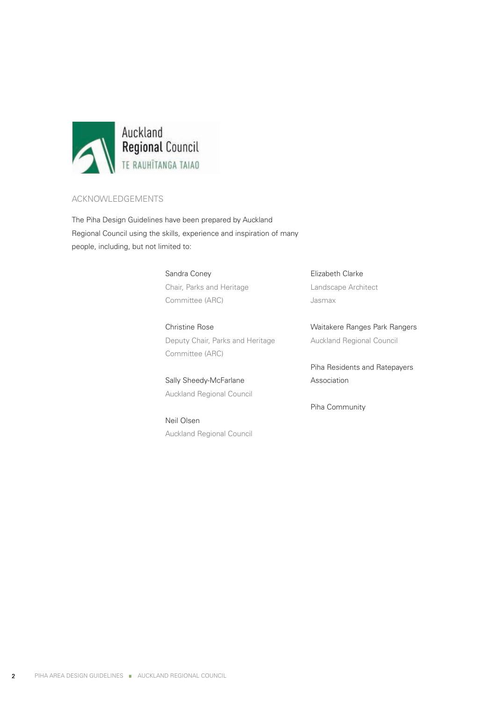

## ACKNOWLEDGEMENTS

The Piha Design Guidelines have been prepared by Auckland Regional Council using the skills, experience and inspiration of many people, including, but not limited to:

> Sandra Coney Chair, Parks and Heritage Committee (ARC)

Christine Rose Deputy Chair, Parks and Heritage Committee (ARC)

Sally Sheedy-McFarlane Auckland Regional Council

Neil Olsen Auckland Regional Council

Elizabeth Clarke Landscape Architect Jasmax

Waitakere Ranges Park Rangers Auckland Regional Council

Piha Residents and Ratepayers Association

Piha Community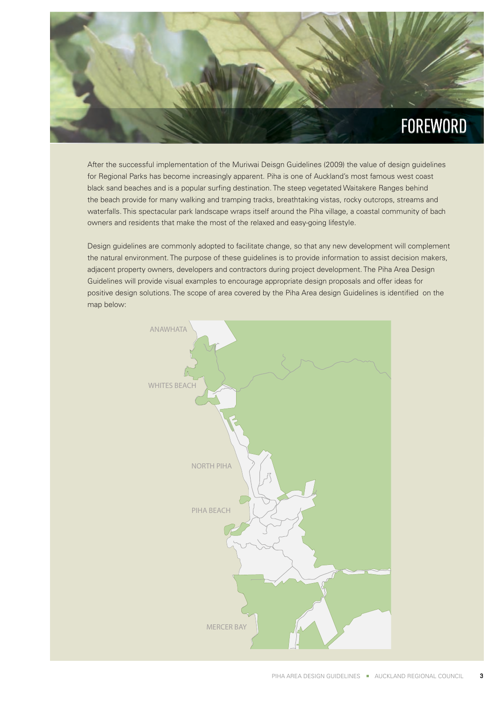

After the successful implementation of the Muriwai Deisgn Guidelines (2009) the value of design guidelines for Regional Parks has become increasingly apparent. Piha is one of Auckland's most famous west coast black sand beaches and is a popular surfing destination. The steep vegetated Waitakere Ranges behind the beach provide for many walking and tramping tracks, breathtaking vistas, rocky outcrops, streams and waterfalls. This spectacular park landscape wraps itself around the Piha village, a coastal community of bach owners and residents that make the most of the relaxed and easy-going lifestyle.

Design guidelines are commonly adopted to facilitate change, so that any new development will complement the natural environment. The purpose of these guidelines is to provide information to assist decision makers, adjacent property owners, developers and contractors during project development. The Piha Area Design Guidelines will provide visual examples to encourage appropriate design proposals and offer ideas for positive design solutions. The scope of area covered by the Piha Area design Guidelines is identified on the map below:

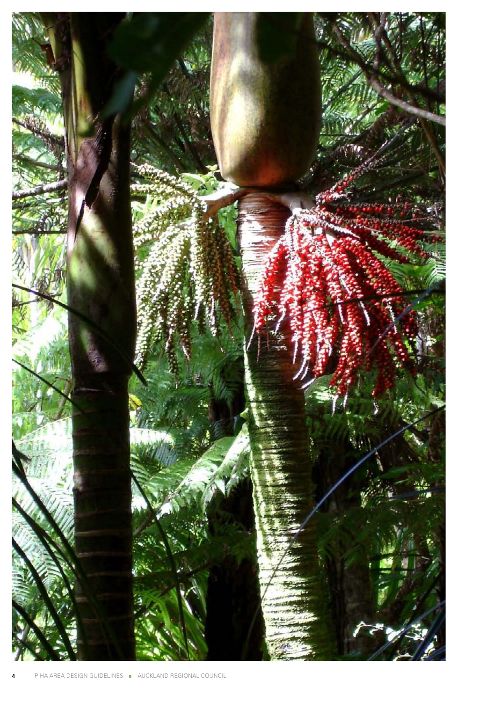